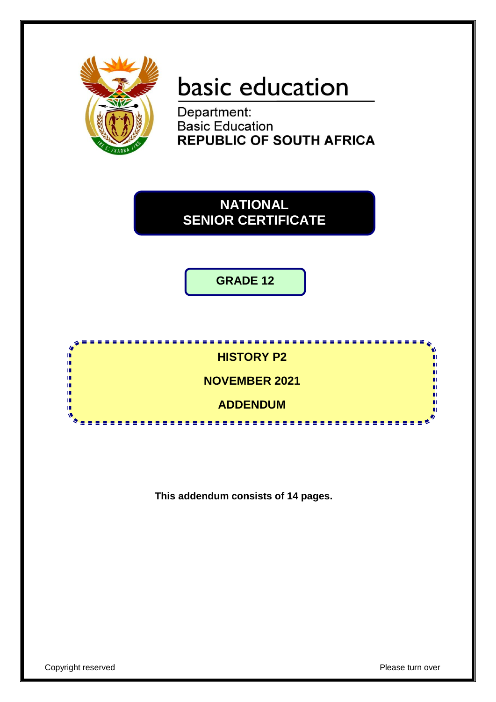

# basic education

Department: **Basic Education REPUBLIC OF SOUTH AFRICA** 

**NATIONAL SENIOR CERTIFICATE**

**GRADE 12**



**This addendum consists of 14 pages.**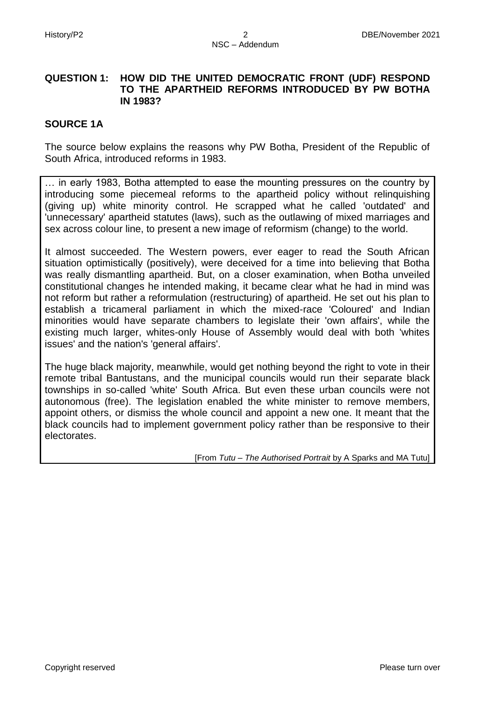# **QUESTION 1: HOW DID THE UNITED DEMOCRATIC FRONT (UDF) RESPOND TO THE APARTHEID REFORMS INTRODUCED BY PW BOTHA IN 1983?**

#### **SOURCE 1A**

The source below explains the reasons why PW Botha, President of the Republic of South Africa, introduced reforms in 1983.

… in early 1983, Botha attempted to ease the mounting pressures on the country by introducing some piecemeal reforms to the apartheid policy without relinquishing (giving up) white minority control. He scrapped what he called 'outdated' and 'unnecessary' apartheid statutes (laws), such as the outlawing of mixed marriages and sex across colour line, to present a new image of reformism (change) to the world.

It almost succeeded. The Western powers, ever eager to read the South African situation optimistically (positively), were deceived for a time into believing that Botha was really dismantling apartheid. But, on a closer examination, when Botha unveiled constitutional changes he intended making, it became clear what he had in mind was not reform but rather a reformulation (restructuring) of apartheid. He set out his plan to establish a tricameral parliament in which the mixed-race 'Coloured' and Indian minorities would have separate chambers to legislate their 'own affairs', while the existing much larger, whites-only House of Assembly would deal with both 'whites issues' and the nation's 'general affairs'.

The huge black majority, meanwhile, would get nothing beyond the right to vote in their remote tribal Bantustans, and the municipal councils would run their separate black townships in so-called 'white' South Africa. But even these urban councils were not autonomous (free). The legislation enabled the white minister to remove members, appoint others, or dismiss the whole council and appoint a new one. It meant that the black councils had to implement government policy rather than be responsive to their electorates.

[From *Tutu – The Authorised Portrait* by A Sparks and MA Tutu]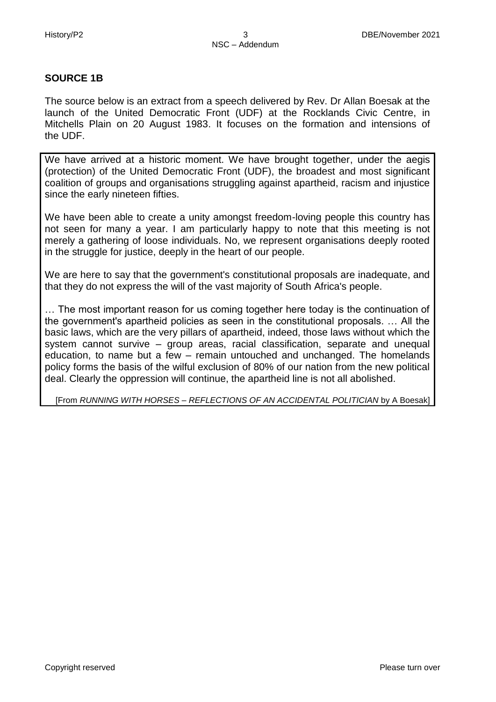#### **SOURCE 1B**

The source below is an extract from a speech delivered by Rev. Dr Allan Boesak at the launch of the United Democratic Front (UDF) at the Rocklands Civic Centre, in Mitchells Plain on 20 August 1983. It focuses on the formation and intensions of the UDF.

We have arrived at a historic moment. We have brought together, under the aegis (protection) of the United Democratic Front (UDF), the broadest and most significant coalition of groups and organisations struggling against apartheid, racism and injustice since the early nineteen fifties.

We have been able to create a unity amongst freedom-loving people this country has not seen for many a year. I am particularly happy to note that this meeting is not merely a gathering of loose individuals. No, we represent organisations deeply rooted in the struggle for justice, deeply in the heart of our people.

We are here to say that the government's constitutional proposals are inadequate, and that they do not express the will of the vast majority of South Africa's people.

… The most important reason for us coming together here today is the continuation of the government's apartheid policies as seen in the constitutional proposals. … All the basic laws, which are the very pillars of apartheid, indeed, those laws without which the system cannot survive – group areas, racial classification, separate and unequal education, to name but a few – remain untouched and unchanged. The homelands policy forms the basis of the wilful exclusion of 80% of our nation from the new political deal. Clearly the oppression will continue, the apartheid line is not all abolished.

[From *RUNNING WITH HORSES – REFLECTIONS OF AN ACCIDENTAL POLITICIAN* by A Boesak]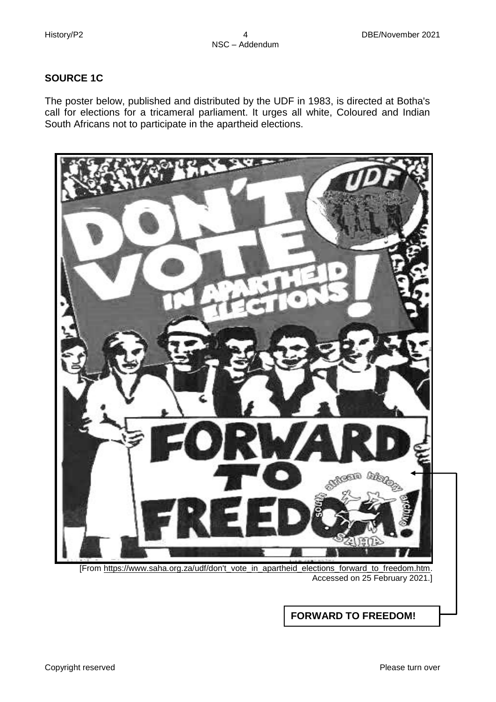# **SOURCE 1C**

The poster below, published and distributed by the UDF in 1983, is directed at Botha's call for elections for a tricameral parliament. It urges all white, Coloured and Indian South Africans not to participate in the apartheid elections.



[From https://www.saha.org.za/udf/don't\_vote\_in\_apartheid\_elections\_forward\_to\_freedom.htm. Accessed on 25 February 2021.]

**FORWARD TO FREEDOM!**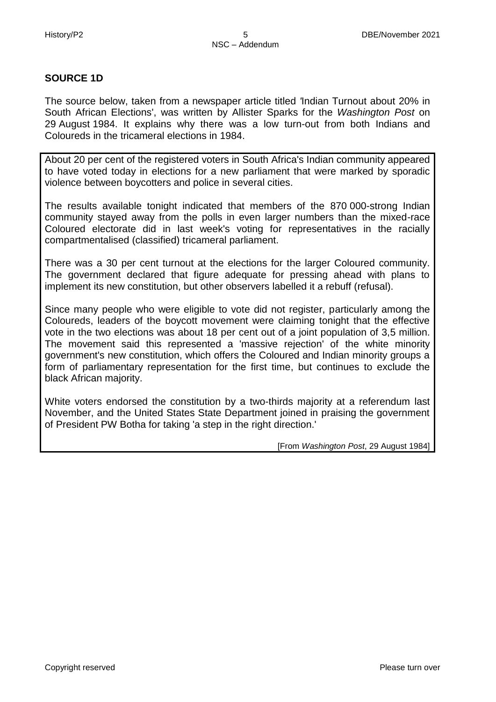#### **SOURCE 1D**

The source below, taken from a newspaper article titled *'*Indian Turnout about 20% in South African Elections', was written by Allister Sparks for the *Washington Post* on 29 August 1984. It explains why there was a low turn-out from both Indians and Coloureds in the tricameral elections in 1984.

About 20 per cent of the registered voters in South Africa's Indian community appeared to have voted today in elections for a new parliament that were marked by sporadic violence between boycotters and police in several cities.

The results available tonight indicated that members of the 870 000-strong Indian community stayed away from the polls in even larger numbers than the mixed-race Coloured electorate did in last week's voting for representatives in the racially compartmentalised (classified) tricameral parliament.

There was a 30 per cent turnout at the elections for the larger Coloured community. The government declared that figure adequate for pressing ahead with plans to implement its new constitution, but other observers labelled it a rebuff (refusal).

Since many people who were eligible to vote did not register, particularly among the Coloureds, leaders of the boycott movement were claiming tonight that the effective vote in the two elections was about 18 per cent out of a joint population of 3,5 million. The movement said this represented a 'massive rejection' of the white minority government's new constitution, which offers the Coloured and Indian minority groups a form of parliamentary representation for the first time, but continues to exclude the black African majority.

White voters endorsed the constitution by a two-thirds majority at a referendum last November, and the United States State Department joined in praising the government of President PW Botha for taking 'a step in the right direction.'

[From *Washington Post*, 29 August 1984]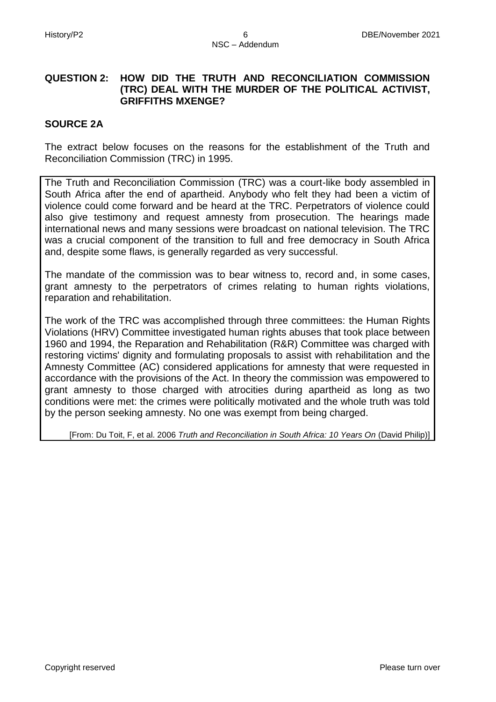# **QUESTION 2: HOW DID THE TRUTH AND RECONCILIATION COMMISSION (TRC) DEAL WITH THE MURDER OF THE POLITICAL ACTIVIST, GRIFFITHS MXENGE?**

#### **SOURCE 2A**

The extract below focuses on the reasons for the establishment of the Truth and Reconciliation Commission (TRC) in 1995.

The Truth and Reconciliation Commission (TRC) was a court-like body assembled in South Africa after the end of apartheid. Anybody who felt they had been a victim of violence could come forward and be heard at the TRC. Perpetrators of violence could also give testimony and request amnesty from prosecution. The hearings made international news and many sessions were broadcast on national television. The TRC was a crucial component of the transition to full and free democracy in South Africa and, despite some flaws, is generally regarded as very successful.

The mandate of the commission was to bear witness to, record and, in some cases, grant amnesty to the perpetrators of crimes relating to human rights violations, reparation and rehabilitation.

The work of the TRC was accomplished through three committees: the Human Rights Violations (HRV) Committee investigated human rights abuses that took place between 1960 and 1994, the Reparation and Rehabilitation (R&R) Committee was charged with restoring victims' dignity and formulating proposals to assist with rehabilitation and the Amnesty Committee (AC) considered applications for amnesty that were requested in accordance with the provisions of the Act. In theory the commission was empowered to grant amnesty to those charged with atrocities during apartheid as long as two conditions were met: the crimes were politically motivated and the whole truth was told by the person seeking amnesty. No one was exempt from being charged.

[From: Du Toit, F, et al. 2006 *Truth and Reconciliation in South Africa: 10 Years On* (David Philip)]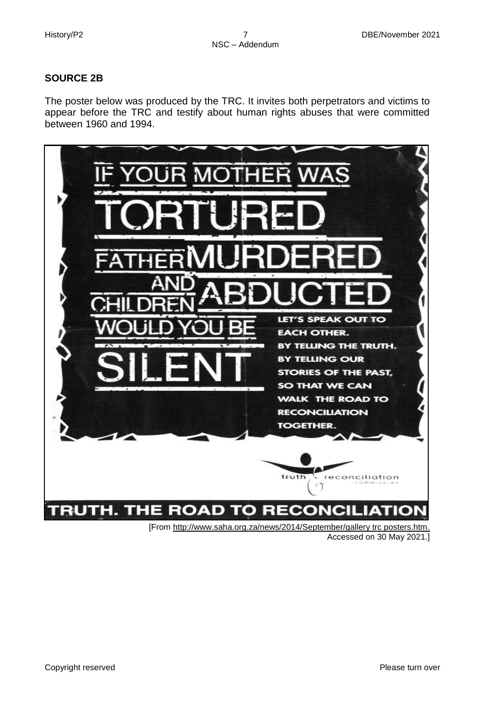# **SOURCE 2B**

The poster below was produced by the TRC. It invites both perpetrators and victims to appear before the TRC and testify about human rights abuses that were committed between 1960 and 1994.



Accessed on 30 May 2021.]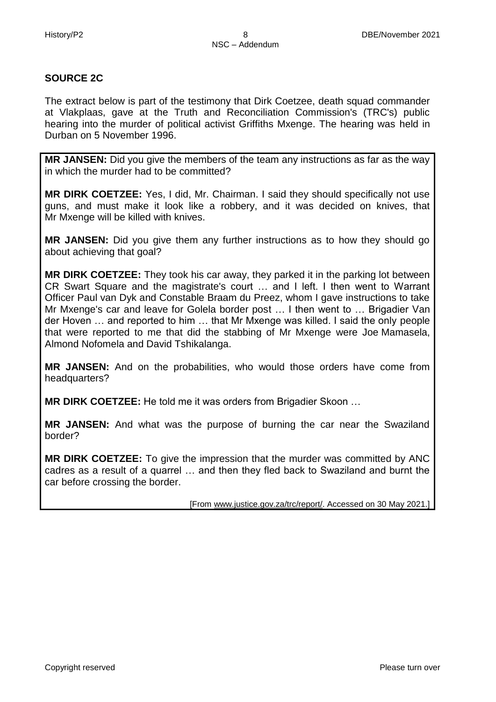## **SOURCE 2C**

The extract below is part of the testimony that Dirk Coetzee, death squad commander at Vlakplaas, gave at the Truth and Reconciliation Commission's (TRC's) public hearing into the murder of political activist Griffiths Mxenge. The hearing was held in Durban on 5 November 1996.

**MR JANSEN:** Did you give the members of the team any instructions as far as the way in which the murder had to be committed?

**MR DIRK COETZEE:** Yes, I did, Mr. Chairman. I said they should specifically not use guns, and must make it look like a robbery, and it was decided on knives, that Mr Mxenge will be killed with knives.

**MR JANSEN:** Did you give them any further instructions as to how they should go about achieving that goal?

**MR DIRK COETZEE:** They took his car away, they parked it in the parking lot between CR Swart Square and the magistrate's court … and I left. I then went to Warrant Officer Paul van Dyk and Constable Braam du Preez, whom I gave instructions to take Mr Mxenge's car and leave for Golela border post … I then went to … Brigadier Van der Hoven … and reported to him … that Mr Mxenge was killed. I said the only people that were reported to me that did the stabbing of Mr Mxenge were Joe Mamasela, Almond Nofomela and David Tshikalanga.

**MR JANSEN:** And on the probabilities, who would those orders have come from headquarters?

**MR DIRK COETZEE:** He told me it was orders from Brigadier Skoon …

**MR JANSEN:** And what was the purpose of burning the car near the Swaziland border?

**MR DIRK COETZEE:** To give the impression that the murder was committed by ANC cadres as a result of a quarrel … and then they fled back to Swaziland and burnt the car before crossing the border.

[From [www.justice.gov.za/trc/report/.](http://www.justice.gov.za/trc/report/) Accessed on 30 May 2021.]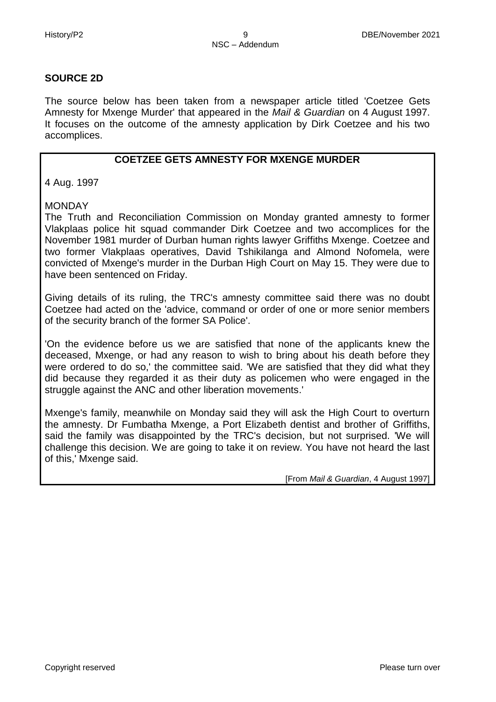#### **SOURCE 2D**

The source below has been taken from a newspaper article titled 'Coetzee Gets Amnesty for Mxenge Murder' that appeared in the *Mail & Guardian* on 4 August 1997. It focuses on the outcome of the amnesty application by Dirk Coetzee and his two accomplices.

# **COETZEE GETS AMNESTY FOR MXENGE MURDER**

4 Aug. 1997

MONDAY

The Truth and Reconciliation Commission on Monday granted amnesty to former Vlakplaas police hit squad commander Dirk Coetzee and two accomplices for the November 1981 murder of Durban human rights lawyer Griffiths Mxenge. Coetzee and two former Vlakplaas operatives, David Tshikilanga and Almond Nofomela, were convicted of Mxenge's murder in the Durban High Court on May 15. They were due to have been sentenced on Friday.

Giving details of its ruling, the TRC's amnesty committee said there was no doubt Coetzee had acted on the 'advice, command or order of one or more senior members of the security branch of the former SA Police'.

'On the evidence before us we are satisfied that none of the applicants knew the deceased, Mxenge, or had any reason to wish to bring about his death before they were ordered to do so,' the committee said. 'We are satisfied that they did what they did because they regarded it as their duty as policemen who were engaged in the struggle against the ANC and other liberation movements.'

Mxenge's family, meanwhile on Monday said they will ask the High Court to overturn the amnesty. Dr Fumbatha Mxenge, a Port Elizabeth dentist and brother of Griffiths, said the family was disappointed by the TRC's decision, but not surprised. 'We will challenge this decision. We are going to take it on review. You have not heard the last of this,' Mxenge said.

[From *Mail & Guardian*, 4 August 1997]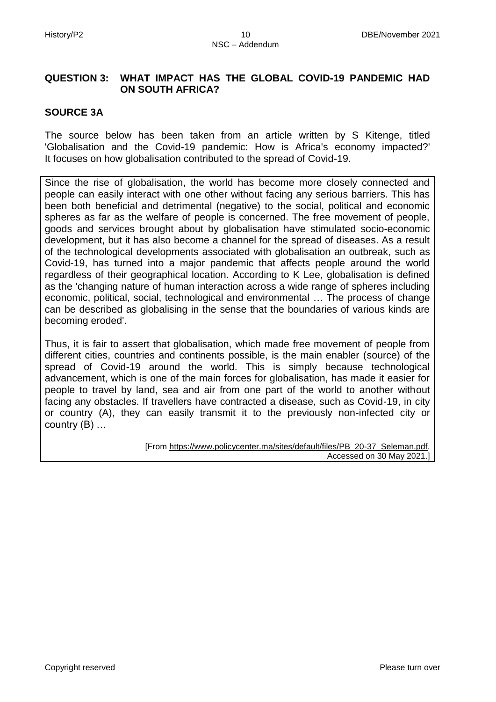# **QUESTION 3: WHAT IMPACT HAS THE GLOBAL COVID-19 PANDEMIC HAD ON SOUTH AFRICA?**

#### **SOURCE 3A**

The source below has been taken from an article written by S Kitenge, titled 'Globalisation and the Covid-19 pandemic: How is Africa's economy impacted?' It focuses on how globalisation contributed to the spread of Covid-19.

Since the rise of globalisation, the world has become more closely connected and people can easily interact with one other without facing any serious barriers. This has been both beneficial and detrimental (negative) to the social, political and economic spheres as far as the welfare of people is concerned. The free movement of people, goods and services brought about by globalisation have stimulated socio-economic development, but it has also become a channel for the spread of diseases. As a result of the technological developments associated with globalisation an outbreak, such as Covid-19, has turned into a major pandemic that affects people around the world regardless of their geographical location. According to K Lee, globalisation is defined as the 'changing nature of human interaction across a wide range of spheres including economic, political, social, technological and environmental … The process of change can be described as globalising in the sense that the boundaries of various kinds are becoming eroded'.

Thus, it is fair to assert that globalisation, which made free movement of people from different cities, countries and continents possible, is the main enabler (source) of the spread of Covid-19 around the world. This is simply because technological advancement, which is one of the main forces for globalisation, has made it easier for people to travel by land, sea and air from one part of the world to another without facing any obstacles. If travellers have contracted a disease, such as Covid-19, in city or country (A), they can easily transmit it to the previously non-infected city or country (B) …

> [From [https://www.policycenter.ma/sites/default/files/PB\\_20-37\\_Seleman.pdf.](https://www.policycenter.ma/sites/default/files/PB_20-37_Seleman.pdf) Accessed on 30 May 2021.]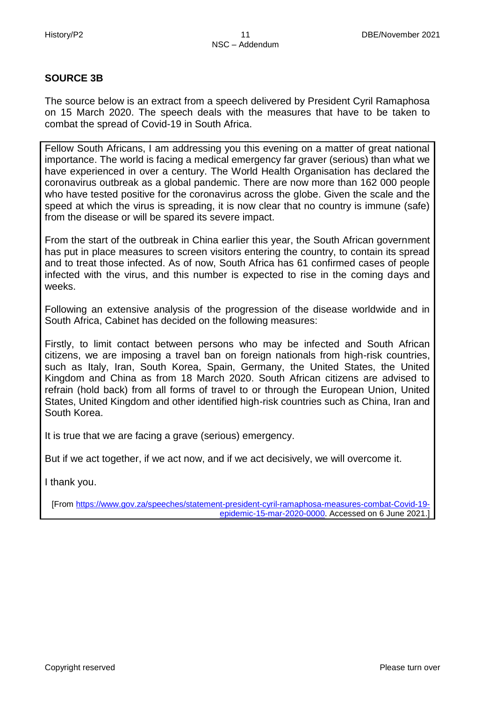# **SOURCE 3B**

The source below is an extract from a speech delivered by President Cyril Ramaphosa on 15 March 2020. The speech deals with the measures that have to be taken to combat the spread of Covid-19 in South Africa.

Fellow South Africans, I am addressing you this evening on a matter of great national importance. The world is facing a medical emergency far graver (serious) than what we have experienced in over a century. The World Health Organisation has declared the coronavirus outbreak as a global pandemic. There are now more than 162 000 people who have tested positive for the coronavirus across the globe. Given the scale and the speed at which the virus is spreading, it is now clear that no country is immune (safe) from the disease or will be spared its severe impact.

From the start of the outbreak in China earlier this year, the South African government has put in place measures to screen visitors entering the country, to contain its spread and to treat those infected. As of now, South Africa has 61 confirmed cases of people infected with the virus, and this number is expected to rise in the coming days and weeks.

Following an extensive analysis of the progression of the disease worldwide and in South Africa, Cabinet has decided on the following measures:

Firstly, to limit contact between persons who may be infected and South African citizens, we are imposing a travel ban on foreign nationals from high-risk countries, such as Italy, Iran, South Korea, Spain, Germany, the United States, the United Kingdom and China as from 18 March 2020. South African citizens are advised to refrain (hold back) from all forms of travel to or through the European Union, United States, United Kingdom and other identified high-risk countries such as China, Iran and South Korea.

It is true that we are facing a grave (serious) emergency.

But if we act together, if we act now, and if we act decisively, we will overcome it.

I thank you.

[From [https://www.gov.za/speeches/statement-president-cyril-ramaphosa-measures-combat-Covid-19](https://www.gov.za/speeches/statement-president-cyril-ramaphosa-measures-combat-Covid-19-epidemic-15-mar-2020-0000) [epidemic-15-mar-2020-0000.](https://www.gov.za/speeches/statement-president-cyril-ramaphosa-measures-combat-Covid-19-epidemic-15-mar-2020-0000) Accessed on 6 June 2021.]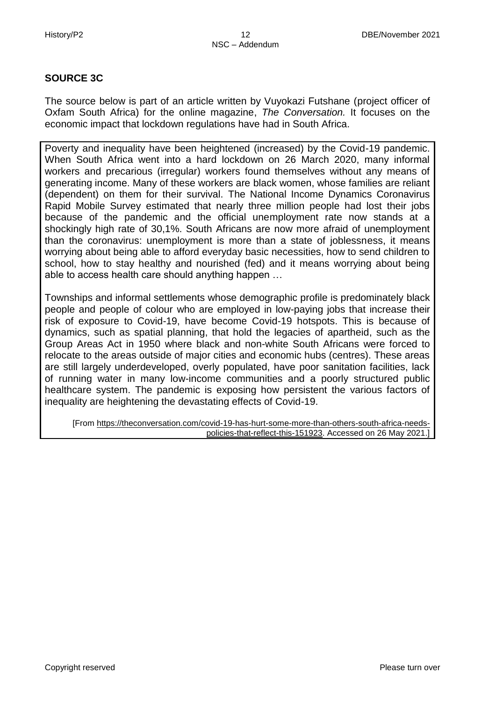# **SOURCE 3C**

The source below is part of an article written by Vuyokazi Futshane (project officer of Oxfam South Africa) for the online magazine, *The Conversation.* It focuses on the economic impact that lockdown regulations have had in South Africa.

Poverty and inequality have been heightened (increased) by the Covid-19 pandemic. When South Africa went into a hard lockdown on 26 March 2020, many informal workers and precarious (irregular) workers found themselves without any means of generating income. Many of these workers are black women, whose families are reliant (dependent) on them for their survival. [The National Income Dynamics Coronavirus](https://cramsurvey.org/wp-content/uploads/2020/07/Spaull-et-al.-NIDS-CRAM-Wave-1-Synthesis-Report-Overview-and-Findings-1.pdf)  [Rapid Mobile Survey](https://cramsurvey.org/wp-content/uploads/2020/07/Spaull-et-al.-NIDS-CRAM-Wave-1-Synthesis-Report-Overview-and-Findings-1.pdf) estimated that nearly three million people had lost their jobs because of the pandemic and the official unemployment rate now stands at a shockingly [high rate of 30,1%.](https://tradingeconomics.com/south-africa/unemployment-rate) South Africans are now more afraid of unemployment than the coronavirus: unemployment is more than a state of joblessness, it means worrying about being able to afford everyday basic necessities, how to send children to school, how to stay healthy and nourished (fed) and it means worrying about being able to access health care should anything happen …

Townships and informal settlements whose demographic profile is predominately black people and people of colour [who are employed in low-paying jobs that increase their](https://oxfamilibrary.openrepository.com/bitstream/handle/10546/621149/bp-the-inequality-virus-250121-en.pdf)  [risk of exposure to Covid-19, h](https://oxfamilibrary.openrepository.com/bitstream/handle/10546/621149/bp-the-inequality-virus-250121-en.pdf)ave become Covid-19 hotspots. This is because of dynamics, such as spatial planning, that hold the legacies of apartheid, such as the Group Areas Act in 1950 where black and non-white South Africans were forced to relocate to the areas outside of major cities and economic hubs (centres). These areas are still largely underdeveloped, overly populated, have poor sanitation facilities, lack of running water in many low-income communities and a poorly structured public healthcare system. The pandemic is exposing how persistent the various factors of inequality are heightening the devastating effects of Covid-19.

[From [https://theconversation.com/covid-19-has-hurt-some-more-than-others-south-africa-needs](https://theconversation.com/covid-19-has-hurt-some-more-than-others-south-africa-needs-policies-that-reflect-this-151923)[policies-that-reflect-this-151923.](https://theconversation.com/covid-19-has-hurt-some-more-than-others-south-africa-needs-policies-that-reflect-this-151923) Accessed on 26 May 2021.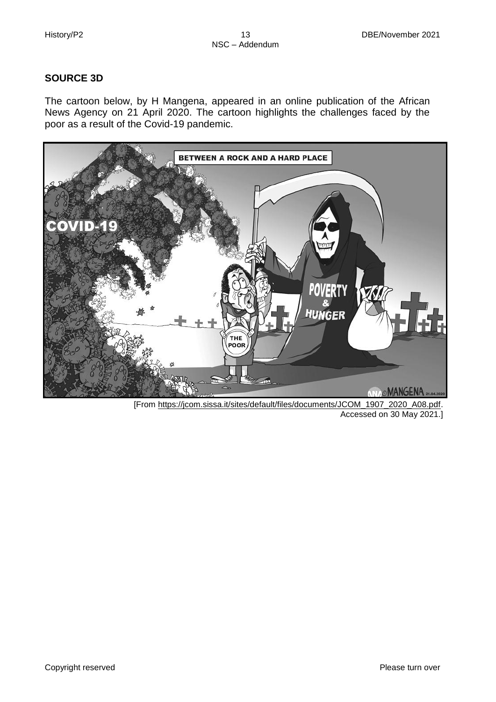# **SOURCE 3D**

The cartoon below, by H Mangena, appeared in an online publication of the African News Agency on 21 April 2020. The cartoon highlights the challenges faced by the poor as a result of the Covid-19 pandemic.



[From [https://jcom.sissa.it/sites/default/files/documents/JCOM\\_1907\\_2020\\_A08.pdf.](https://jcom.sissa.it/sites/default/files/documents/JCOM_1907_2020_A08.pdf) Accessed on 30 May 2021.]